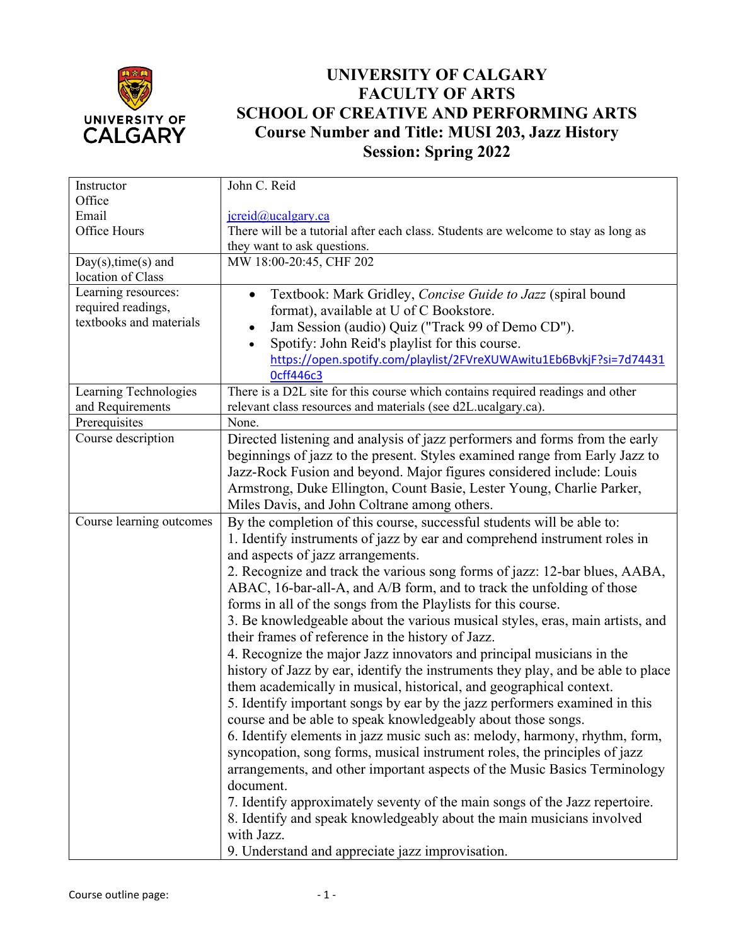

## **UNIVERSITY OF CALGARY FACULTY OF ARTS SCHOOL OF CREATIVE AND PERFORMING ARTS Course Number and Title: MUSI 203, Jazz History Session: Spring 2022**

| Instructor               | John C. Reid                                                                       |
|--------------------------|------------------------------------------------------------------------------------|
| Office                   |                                                                                    |
| Email                    | $\text{jcreid}(a)$ ucalgary.ca                                                     |
| Office Hours             | There will be a tutorial after each class. Students are welcome to stay as long as |
|                          | they want to ask questions.                                                        |
| $Day(s), time(s)$ and    | MW 18:00-20:45, CHF 202                                                            |
| location of Class        |                                                                                    |
| Learning resources:      | Textbook: Mark Gridley, Concise Guide to Jazz (spiral bound<br>$\bullet$           |
| required readings,       | format), available at U of C Bookstore.                                            |
| textbooks and materials  | Jam Session (audio) Quiz ("Track 99 of Demo CD").                                  |
|                          | Spotify: John Reid's playlist for this course.<br>$\bullet$                        |
|                          | https://open.spotify.com/playlist/2FVreXUWAwitu1Eb6BvkjF?si=7d74431                |
|                          | <b>Ocff446c3</b>                                                                   |
| Learning Technologies    | There is a D2L site for this course which contains required readings and other     |
| and Requirements         | relevant class resources and materials (see d2L.ucalgary.ca).                      |
| Prerequisites            | None.                                                                              |
| Course description       | Directed listening and analysis of jazz performers and forms from the early        |
|                          |                                                                                    |
|                          | beginnings of jazz to the present. Styles examined range from Early Jazz to        |
|                          | Jazz-Rock Fusion and beyond. Major figures considered include: Louis               |
|                          | Armstrong, Duke Ellington, Count Basie, Lester Young, Charlie Parker,              |
|                          | Miles Davis, and John Coltrane among others.                                       |
| Course learning outcomes | By the completion of this course, successful students will be able to:             |
|                          | 1. Identify instruments of jazz by ear and comprehend instrument roles in          |
|                          | and aspects of jazz arrangements.                                                  |
|                          | 2. Recognize and track the various song forms of jazz: 12-bar blues, AABA,         |
|                          | ABAC, 16-bar-all-A, and A/B form, and to track the unfolding of those              |
|                          | forms in all of the songs from the Playlists for this course.                      |
|                          | 3. Be knowledgeable about the various musical styles, eras, main artists, and      |
|                          | their frames of reference in the history of Jazz.                                  |
|                          | 4. Recognize the major Jazz innovators and principal musicians in the              |
|                          | history of Jazz by ear, identify the instruments they play, and be able to place   |
|                          | them academically in musical, historical, and geographical context.                |
|                          | 5. Identify important songs by ear by the jazz performers examined in this         |
|                          |                                                                                    |
|                          | course and be able to speak knowledgeably about those songs.                       |
|                          | 6. Identify elements in jazz music such as: melody, harmony, rhythm, form,         |
|                          | syncopation, song forms, musical instrument roles, the principles of jazz          |
|                          | arrangements, and other important aspects of the Music Basics Terminology          |
|                          | document.                                                                          |
|                          | 7. Identify approximately seventy of the main songs of the Jazz repertoire.        |
|                          | 8. Identify and speak knowledgeably about the main musicians involved              |
|                          | with Jazz.                                                                         |
|                          | 9. Understand and appreciate jazz improvisation.                                   |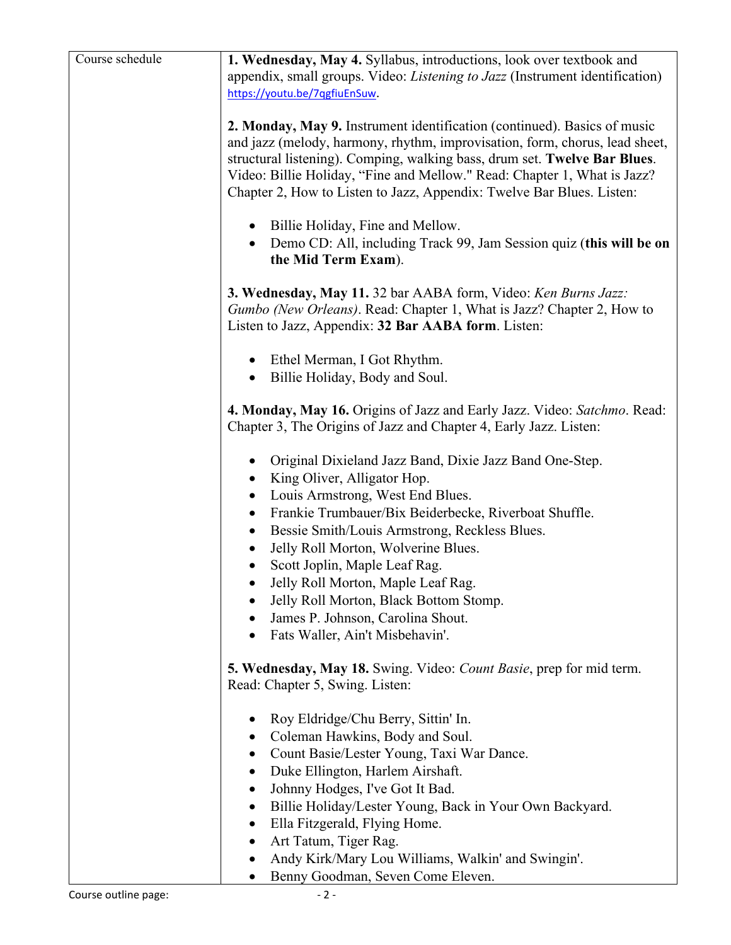| Course schedule | 1. Wednesday, May 4. Syllabus, introductions, look over textbook and                                                                                                                                                                                                                                                                                                                                                                       |
|-----------------|--------------------------------------------------------------------------------------------------------------------------------------------------------------------------------------------------------------------------------------------------------------------------------------------------------------------------------------------------------------------------------------------------------------------------------------------|
|                 | appendix, small groups. Video: <i>Listening to Jazz</i> (Instrument identification)                                                                                                                                                                                                                                                                                                                                                        |
|                 | https://youtu.be/7qgfiuEnSuw.                                                                                                                                                                                                                                                                                                                                                                                                              |
|                 | 2. Monday, May 9. Instrument identification (continued). Basics of music<br>and jazz (melody, harmony, rhythm, improvisation, form, chorus, lead sheet,<br>structural listening). Comping, walking bass, drum set. Twelve Bar Blues.<br>Video: Billie Holiday, "Fine and Mellow." Read: Chapter 1, What is Jazz?<br>Chapter 2, How to Listen to Jazz, Appendix: Twelve Bar Blues. Listen:<br>Billie Holiday, Fine and Mellow.<br>$\bullet$ |
|                 | Demo CD: All, including Track 99, Jam Session quiz (this will be on<br>the Mid Term Exam).                                                                                                                                                                                                                                                                                                                                                 |
|                 | 3. Wednesday, May 11. 32 bar AABA form, Video: Ken Burns Jazz:<br>Gumbo (New Orleans). Read: Chapter 1, What is Jazz? Chapter 2, How to<br>Listen to Jazz, Appendix: 32 Bar AABA form. Listen:                                                                                                                                                                                                                                             |
|                 | Ethel Merman, I Got Rhythm.<br>٠<br>Billie Holiday, Body and Soul.<br>$\bullet$                                                                                                                                                                                                                                                                                                                                                            |
|                 | 4. Monday, May 16. Origins of Jazz and Early Jazz. Video: Satchmo. Read:<br>Chapter 3, The Origins of Jazz and Chapter 4, Early Jazz. Listen:                                                                                                                                                                                                                                                                                              |
|                 | Original Dixieland Jazz Band, Dixie Jazz Band One-Step.<br>King Oliver, Alligator Hop.<br>$\bullet$<br>Louis Armstrong, West End Blues.<br>Frankie Trumbauer/Bix Beiderbecke, Riverboat Shuffle.<br>$\bullet$                                                                                                                                                                                                                              |
|                 | Bessie Smith/Louis Armstrong, Reckless Blues.<br>$\bullet$<br>Jelly Roll Morton, Wolverine Blues.<br>$\bullet$<br>Scott Joplin, Maple Leaf Rag.<br>Jelly Roll Morton, Maple Leaf Rag.                                                                                                                                                                                                                                                      |
|                 | Jelly Roll Morton, Black Bottom Stomp.                                                                                                                                                                                                                                                                                                                                                                                                     |
|                 | James P. Johnson, Carolina Shout.                                                                                                                                                                                                                                                                                                                                                                                                          |
|                 | Fats Waller, Ain't Misbehavin'.                                                                                                                                                                                                                                                                                                                                                                                                            |
|                 | 5. Wednesday, May 18. Swing. Video: Count Basie, prep for mid term.<br>Read: Chapter 5, Swing. Listen:                                                                                                                                                                                                                                                                                                                                     |
|                 | Roy Eldridge/Chu Berry, Sittin' In.<br>٠                                                                                                                                                                                                                                                                                                                                                                                                   |
|                 | Coleman Hawkins, Body and Soul.                                                                                                                                                                                                                                                                                                                                                                                                            |
|                 | Count Basie/Lester Young, Taxi War Dance.                                                                                                                                                                                                                                                                                                                                                                                                  |
|                 | Duke Ellington, Harlem Airshaft.<br>٠                                                                                                                                                                                                                                                                                                                                                                                                      |
|                 | Johnny Hodges, I've Got It Bad.<br>$\bullet$                                                                                                                                                                                                                                                                                                                                                                                               |
|                 | Billie Holiday/Lester Young, Back in Your Own Backyard.<br>$\bullet$                                                                                                                                                                                                                                                                                                                                                                       |
|                 | Ella Fitzgerald, Flying Home.<br>$\bullet$                                                                                                                                                                                                                                                                                                                                                                                                 |
|                 | Art Tatum, Tiger Rag.<br>Andy Kirk/Mary Lou Williams, Walkin' and Swingin'.<br>$\bullet$                                                                                                                                                                                                                                                                                                                                                   |
|                 | Benny Goodman, Seven Come Eleven.<br>$\bullet$                                                                                                                                                                                                                                                                                                                                                                                             |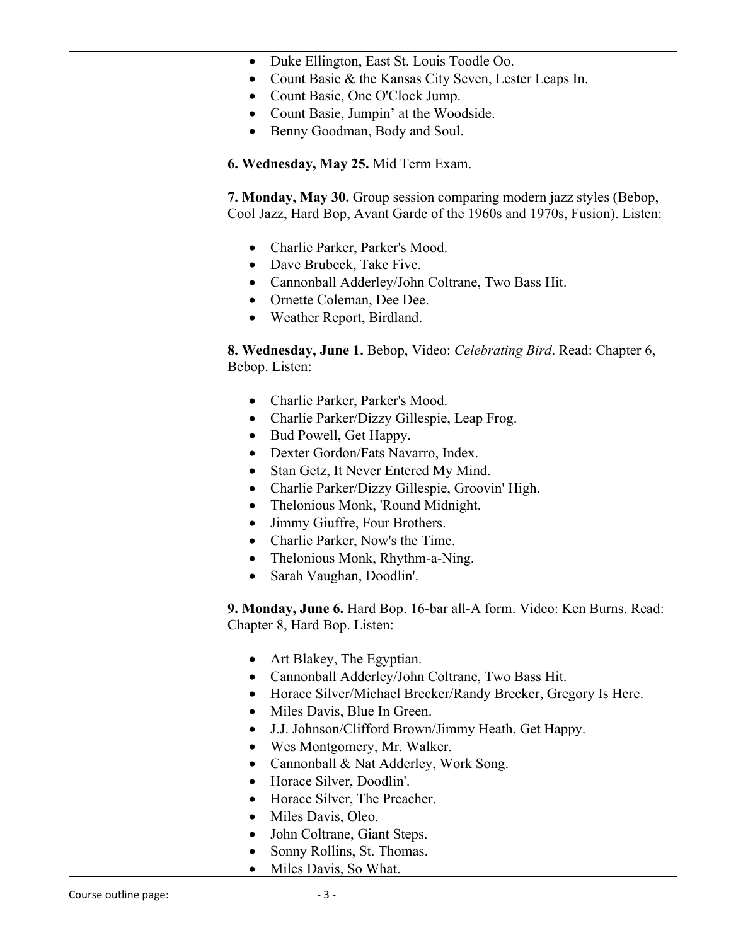| Duke Ellington, East St. Louis Toodle Oo.<br>$\bullet$<br>Count Basie & the Kansas City Seven, Lester Leaps In.                                    |
|----------------------------------------------------------------------------------------------------------------------------------------------------|
| Count Basie, One O'Clock Jump.                                                                                                                     |
| Count Basie, Jumpin' at the Woodside.<br>$\bullet$                                                                                                 |
| Benny Goodman, Body and Soul.<br>$\bullet$                                                                                                         |
| 6. Wednesday, May 25. Mid Term Exam.                                                                                                               |
| 7. Monday, May 30. Group session comparing modern jazz styles (Bebop,<br>Cool Jazz, Hard Bop, Avant Garde of the 1960s and 1970s, Fusion). Listen: |
| Charlie Parker, Parker's Mood.<br>$\bullet$                                                                                                        |
| Dave Brubeck, Take Five.<br>$\bullet$                                                                                                              |
| Cannonball Adderley/John Coltrane, Two Bass Hit.                                                                                                   |
| • Ornette Coleman, Dee Dee.                                                                                                                        |
| Weather Report, Birdland.<br>$\bullet$                                                                                                             |
| 8. Wednesday, June 1. Bebop, Video: Celebrating Bird. Read: Chapter 6,<br>Bebop. Listen:                                                           |
| Charlie Parker, Parker's Mood.<br>$\bullet$                                                                                                        |
| Charlie Parker/Dizzy Gillespie, Leap Frog.                                                                                                         |
| Bud Powell, Get Happy.<br>$\bullet$                                                                                                                |
| Dexter Gordon/Fats Navarro, Index.<br>$\bullet$                                                                                                    |
| Stan Getz, It Never Entered My Mind.<br>$\bullet$                                                                                                  |
| Charlie Parker/Dizzy Gillespie, Groovin' High.<br>$\bullet$                                                                                        |
| Thelonious Monk, 'Round Midnight.<br>$\bullet$                                                                                                     |
| Jimmy Giuffre, Four Brothers.<br>$\bullet$                                                                                                         |
| Charlie Parker, Now's the Time.<br>$\bullet$                                                                                                       |
| Thelonious Monk, Rhythm-a-Ning.                                                                                                                    |
| Sarah Vaughan, Doodlin'.                                                                                                                           |
| 9. Monday, June 6. Hard Bop. 16-bar all-A form. Video: Ken Burns. Read:<br>Chapter 8, Hard Bop. Listen:                                            |
| Art Blakey, The Egyptian.                                                                                                                          |
| Cannonball Adderley/John Coltrane, Two Bass Hit.                                                                                                   |
| Horace Silver/Michael Brecker/Randy Brecker, Gregory Is Here.<br>$\bullet$                                                                         |
| Miles Davis, Blue In Green.<br>$\bullet$                                                                                                           |
| J.J. Johnson/Clifford Brown/Jimmy Heath, Get Happy.<br>$\bullet$                                                                                   |
| Wes Montgomery, Mr. Walker.<br>$\bullet$                                                                                                           |
| Cannonball & Nat Adderley, Work Song.<br>$\bullet$                                                                                                 |
| Horace Silver, Doodlin'.<br>$\bullet$                                                                                                              |
| Horace Silver, The Preacher.<br>$\bullet$                                                                                                          |
| Miles Davis, Oleo.<br>$\bullet$                                                                                                                    |
| John Coltrane, Giant Steps.<br>$\bullet$                                                                                                           |
| Sonny Rollins, St. Thomas.                                                                                                                         |
| Miles Davis, So What.                                                                                                                              |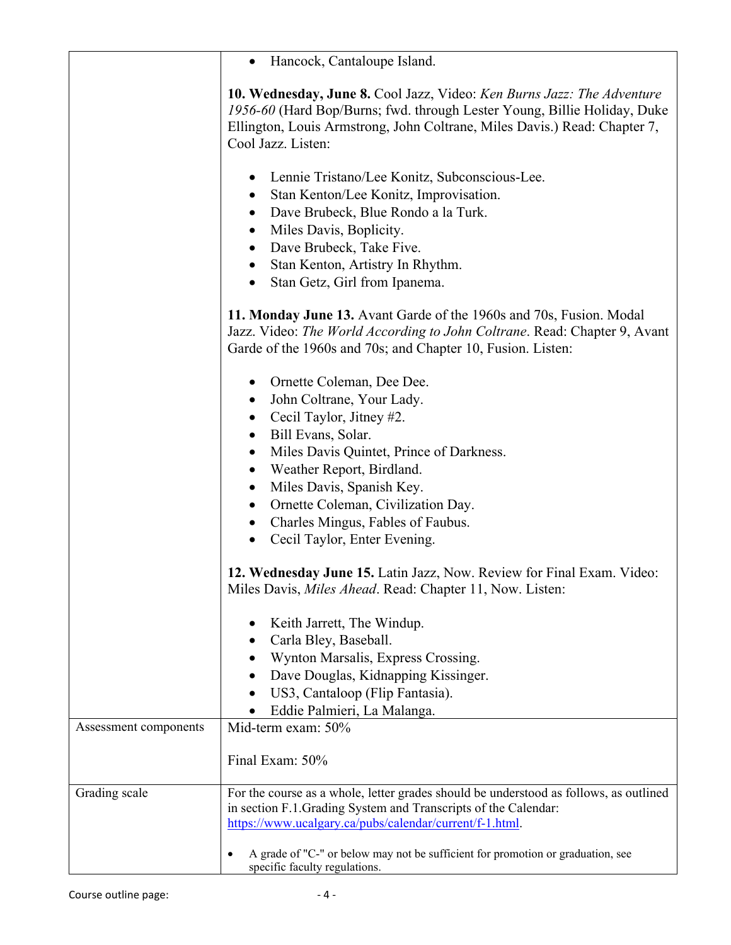|                       | Hancock, Cantaloupe Island.                                                                                                                                                                                                                                                                                                                                                                                                                                 |
|-----------------------|-------------------------------------------------------------------------------------------------------------------------------------------------------------------------------------------------------------------------------------------------------------------------------------------------------------------------------------------------------------------------------------------------------------------------------------------------------------|
|                       | 10. Wednesday, June 8. Cool Jazz, Video: Ken Burns Jazz: The Adventure<br>1956-60 (Hard Bop/Burns; fwd. through Lester Young, Billie Holiday, Duke<br>Ellington, Louis Armstrong, John Coltrane, Miles Davis.) Read: Chapter 7,<br>Cool Jazz. Listen:                                                                                                                                                                                                       |
|                       | Lennie Tristano/Lee Konitz, Subconscious-Lee.<br>Stan Kenton/Lee Konitz, Improvisation.<br>$\bullet$<br>Dave Brubeck, Blue Rondo a la Turk.<br>$\bullet$<br>Miles Davis, Boplicity.<br>$\bullet$<br>Dave Brubeck, Take Five.<br>$\bullet$<br>Stan Kenton, Artistry In Rhythm.<br>$\bullet$<br>Stan Getz, Girl from Ipanema.<br>$\bullet$                                                                                                                    |
|                       | 11. Monday June 13. Avant Garde of the 1960s and 70s, Fusion. Modal<br>Jazz. Video: The World According to John Coltrane. Read: Chapter 9, Avant<br>Garde of the 1960s and 70s; and Chapter 10, Fusion. Listen:                                                                                                                                                                                                                                             |
|                       | Ornette Coleman, Dee Dee.<br>$\bullet$<br>John Coltrane, Your Lady.<br>$\bullet$<br>Cecil Taylor, Jitney #2.<br>$\bullet$<br>Bill Evans, Solar.<br>$\bullet$<br>Miles Davis Quintet, Prince of Darkness.<br>$\bullet$<br>Weather Report, Birdland.<br>$\bullet$<br>Miles Davis, Spanish Key.<br>$\bullet$<br>Ornette Coleman, Civilization Day.<br>$\bullet$<br>Charles Mingus, Fables of Faubus.<br>$\bullet$<br>Cecil Taylor, Enter Evening.<br>$\bullet$ |
|                       | 12. Wednesday June 15. Latin Jazz, Now. Review for Final Exam. Video:<br>Miles Davis, Miles Ahead. Read: Chapter 11, Now. Listen:                                                                                                                                                                                                                                                                                                                           |
|                       | Keith Jarrett, The Windup.<br>Carla Bley, Baseball.<br>Wynton Marsalis, Express Crossing.<br>Dave Douglas, Kidnapping Kissinger.<br>US3, Cantaloop (Flip Fantasia).<br>Eddie Palmieri, La Malanga.                                                                                                                                                                                                                                                          |
| Assessment components | Mid-term exam: 50%<br>Final Exam: 50%                                                                                                                                                                                                                                                                                                                                                                                                                       |
| Grading scale         | For the course as a whole, letter grades should be understood as follows, as outlined<br>in section F.1. Grading System and Transcripts of the Calendar:<br>https://www.ucalgary.ca/pubs/calendar/current/f-1.html.                                                                                                                                                                                                                                         |
|                       | A grade of "C-" or below may not be sufficient for promotion or graduation, see<br>$\bullet$<br>specific faculty regulations.                                                                                                                                                                                                                                                                                                                               |